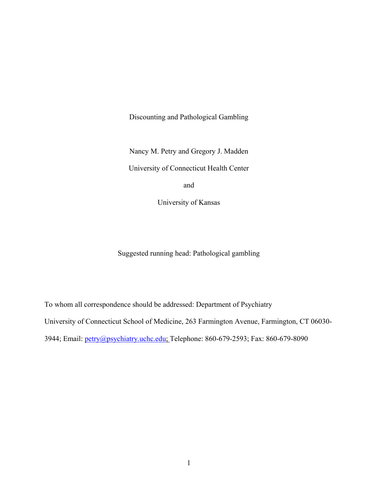Discounting and Pathological Gambling

Nancy M. Petry and Gregory J. Madden

University of Connecticut Health Center

and

University of Kansas

Suggested running head: Pathological gambling

To whom all correspondence should be addressed: Department of Psychiatry University of Connecticut School of Medicine, 263 Farmington Avenue, Farmington, CT 06030- 3944; Email: [petry@psychiatry.uchc.edu;](mailto:petry@psychiatry.uchc.edu) Telephone: 860-679-2593; Fax: 860-679-8090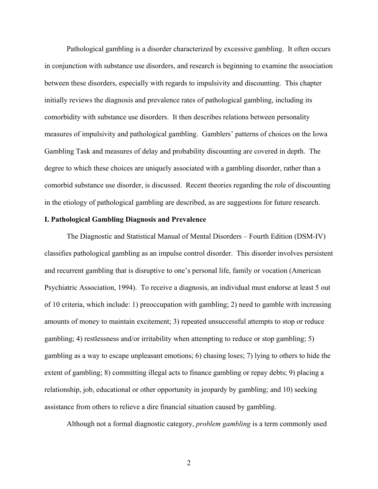Pathological gambling is a disorder characterized by excessive gambling. It often occurs in conjunction with substance use disorders, and research is beginning to examine the association between these disorders, especially with regards to impulsivity and discounting. This chapter initially reviews the diagnosis and prevalence rates of pathological gambling, including its comorbidity with substance use disorders. It then describes relations between personality measures of impulsivity and pathological gambling. Gamblers' patterns of choices on the Iowa Gambling Task and measures of delay and probability discounting are covered in depth. The degree to which these choices are uniquely associated with a gambling disorder, rather than a comorbid substance use disorder, is discussed. Recent theories regarding the role of discounting in the etiology of pathological gambling are described, as are suggestions for future research.

# **I. Pathological Gambling Diagnosis and Prevalence**

The Diagnostic and Statistical Manual of Mental Disorders – Fourth Edition (DSM-IV) classifies pathological gambling as an impulse control disorder. This disorder involves persistent and recurrent gambling that is disruptive to one's personal life, family or vocation (American Psychiatric Association, 1994). To receive a diagnosis, an individual must endorse at least 5 out of 10 criteria, which include: 1) preoccupation with gambling; 2) need to gamble with increasing amounts of money to maintain excitement; 3) repeated unsuccessful attempts to stop or reduce gambling; 4) restlessness and/or irritability when attempting to reduce or stop gambling; 5) gambling as a way to escape unpleasant emotions; 6) chasing loses; 7) lying to others to hide the extent of gambling; 8) committing illegal acts to finance gambling or repay debts; 9) placing a relationship, job, educational or other opportunity in jeopardy by gambling; and 10) seeking assistance from others to relieve a dire financial situation caused by gambling.

Although not a formal diagnostic category, *problem gambling* is a term commonly used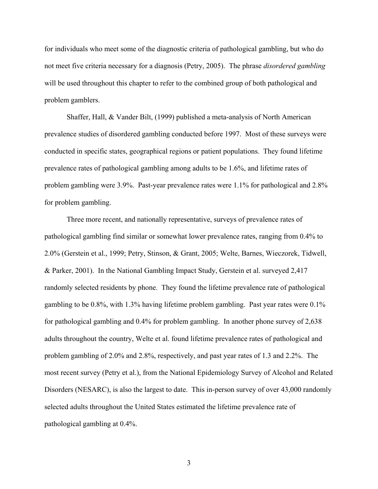for individuals who meet some of the diagnostic criteria of pathological gambling, but who do not meet five criteria necessary for a diagnosis (Petry, 2005). The phrase *disordered gambling* will be used throughout this chapter to refer to the combined group of both pathological and problem gamblers.

Shaffer, Hall, & Vander Bilt, (1999) published a meta-analysis of North American prevalence studies of disordered gambling conducted before 1997. Most of these surveys were conducted in specific states, geographical regions or patient populations. They found lifetime prevalence rates of pathological gambling among adults to be 1.6%, and lifetime rates of problem gambling were 3.9%. Past-year prevalence rates were 1.1% for pathological and 2.8% for problem gambling.

Three more recent, and nationally representative, surveys of prevalence rates of pathological gambling find similar or somewhat lower prevalence rates, ranging from 0.4% to 2.0% (Gerstein et al., 1999; Petry, Stinson, & Grant, 2005; Welte, Barnes, Wieczorek, Tidwell, & Parker, 2001). In the National Gambling Impact Study, Gerstein et al. surveyed 2,417 randomly selected residents by phone. They found the lifetime prevalence rate of pathological gambling to be 0.8%, with 1.3% having lifetime problem gambling. Past year rates were 0.1% for pathological gambling and 0.4% for problem gambling. In another phone survey of 2,638 adults throughout the country, Welte et al. found lifetime prevalence rates of pathological and problem gambling of 2.0% and 2.8%, respectively, and past year rates of 1.3 and 2.2%. The most recent survey (Petry et al.), from the National Epidemiology Survey of Alcohol and Related Disorders (NESARC), is also the largest to date. This in-person survey of over 43,000 randomly selected adults throughout the United States estimated the lifetime prevalence rate of pathological gambling at 0.4%.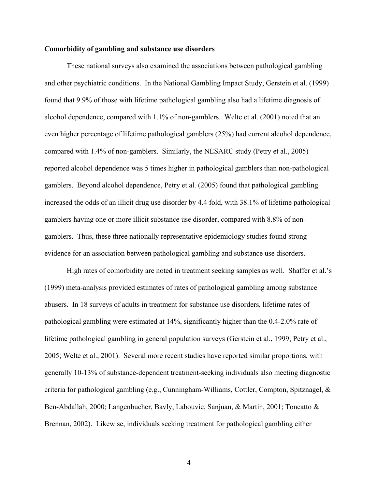# **Comorbidity of gambling and substance use disorders**

These national surveys also examined the associations between pathological gambling and other psychiatric conditions. In the National Gambling Impact Study, Gerstein et al. (1999) found that 9.9% of those with lifetime pathological gambling also had a lifetime diagnosis of alcohol dependence, compared with 1.1% of non-gamblers. Welte et al. (2001) noted that an even higher percentage of lifetime pathological gamblers (25%) had current alcohol dependence, compared with 1.4% of non-gamblers. Similarly, the NESARC study (Petry et al., 2005) reported alcohol dependence was 5 times higher in pathological gamblers than non-pathological gamblers. Beyond alcohol dependence, Petry et al. (2005) found that pathological gambling increased the odds of an illicit drug use disorder by 4.4 fold, with 38.1% of lifetime pathological gamblers having one or more illicit substance use disorder, compared with 8.8% of nongamblers. Thus, these three nationally representative epidemiology studies found strong evidence for an association between pathological gambling and substance use disorders.

High rates of comorbidity are noted in treatment seeking samples as well. Shaffer et al.'s (1999) meta-analysis provided estimates of rates of pathological gambling among substance abusers. In 18 surveys of adults in treatment for substance use disorders, lifetime rates of pathological gambling were estimated at 14%, significantly higher than the 0.4-2.0% rate of lifetime pathological gambling in general population surveys (Gerstein et al., 1999; Petry et al., 2005; Welte et al., 2001). Several more recent studies have reported similar proportions, with generally 10-13% of substance-dependent treatment-seeking individuals also meeting diagnostic criteria for pathological gambling (e.g., Cunningham-Williams, Cottler, Compton, Spitznagel, & Ben-Abdallah, 2000; Langenbucher, Bavly, Labouvie, Sanjuan, & Martin, 2001; Toneatto & Brennan, 2002). Likewise, individuals seeking treatment for pathological gambling either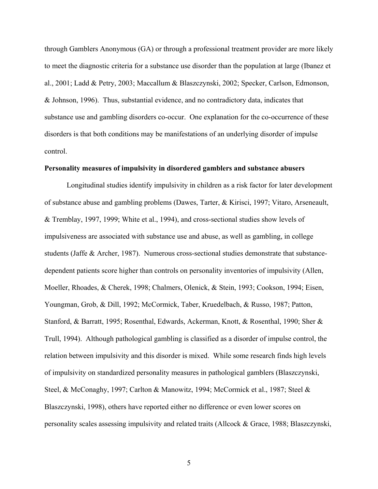through Gamblers Anonymous (GA) or through a professional treatment provider are more likely to meet the diagnostic criteria for a substance use disorder than the population at large (Ibanez et al., 2001; Ladd & Petry, 2003; Maccallum & Blaszczynski, 2002; Specker, Carlson, Edmonson, & Johnson, 1996). Thus, substantial evidence, and no contradictory data, indicates that substance use and gambling disorders co-occur. One explanation for the co-occurrence of these disorders is that both conditions may be manifestations of an underlying disorder of impulse control.

### **Personality measures of impulsivity in disordered gamblers and substance abusers**

Longitudinal studies identify impulsivity in children as a risk factor for later development of substance abuse and gambling problems (Dawes, Tarter, & Kirisci, 1997; Vitaro, Arseneault, & Tremblay, 1997, 1999; White et al., 1994), and cross-sectional studies show levels of impulsiveness are associated with substance use and abuse, as well as gambling, in college students (Jaffe & Archer, 1987). Numerous cross-sectional studies demonstrate that substancedependent patients score higher than controls on personality inventories of impulsivity (Allen, Moeller, Rhoades, & Cherek, 1998; Chalmers, Olenick, & Stein, 1993; Cookson, 1994; Eisen, Youngman, Grob, & Dill, 1992; McCormick, Taber, Kruedelbach, & Russo, 1987; Patton, Stanford, & Barratt, 1995; Rosenthal, Edwards, Ackerman, Knott, & Rosenthal, 1990; Sher & Trull, 1994). Although pathological gambling is classified as a disorder of impulse control, the relation between impulsivity and this disorder is mixed. While some research finds high levels of impulsivity on standardized personality measures in pathological gamblers (Blaszczynski, Steel, & McConaghy, 1997; Carlton & Manowitz, 1994; McCormick et al., 1987; Steel & Blaszczynski, 1998), others have reported either no difference or even lower scores on personality scales assessing impulsivity and related traits (Allcock & Grace, 1988; Blaszczynski,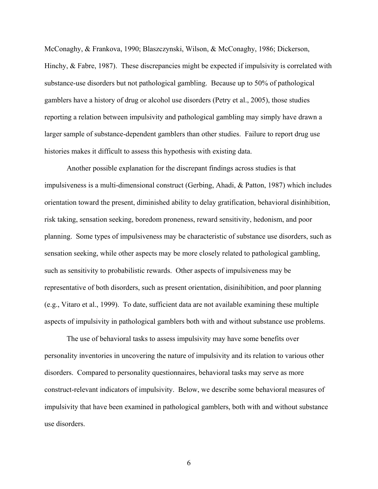McConaghy, & Frankova, 1990; Blaszczynski, Wilson, & McConaghy, 1986; Dickerson, Hinchy, & Fabre, 1987). These discrepancies might be expected if impulsivity is correlated with substance-use disorders but not pathological gambling. Because up to 50% of pathological gamblers have a history of drug or alcohol use disorders (Petry et al., 2005), those studies reporting a relation between impulsivity and pathological gambling may simply have drawn a larger sample of substance-dependent gamblers than other studies. Failure to report drug use histories makes it difficult to assess this hypothesis with existing data.

Another possible explanation for the discrepant findings across studies is that impulsiveness is a multi-dimensional construct (Gerbing, Ahadi, & Patton, 1987) which includes orientation toward the present, diminished ability to delay gratification, behavioral disinhibition, risk taking, sensation seeking, boredom proneness, reward sensitivity, hedonism, and poor planning. Some types of impulsiveness may be characteristic of substance use disorders, such as sensation seeking, while other aspects may be more closely related to pathological gambling, such as sensitivity to probabilistic rewards. Other aspects of impulsiveness may be representative of both disorders, such as present orientation, disinihibition, and poor planning (e.g., Vitaro et al., 1999). To date, sufficient data are not available examining these multiple aspects of impulsivity in pathological gamblers both with and without substance use problems.

The use of behavioral tasks to assess impulsivity may have some benefits over personality inventories in uncovering the nature of impulsivity and its relation to various other disorders. Compared to personality questionnaires, behavioral tasks may serve as more construct-relevant indicators of impulsivity.Below, we describe some behavioral measures of impulsivity that have been examined in pathological gamblers, both with and without substance use disorders.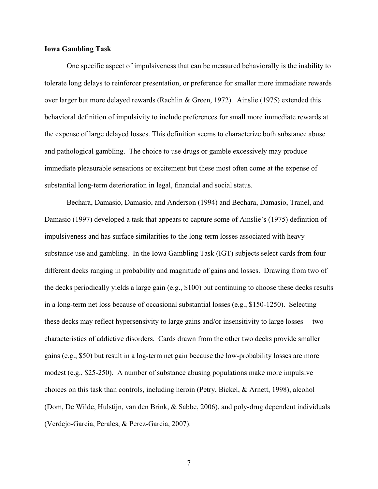# **Iowa Gambling Task**

One specific aspect of impulsiveness that can be measured behaviorally is the inability to tolerate long delays to reinforcer presentation, or preference for smaller more immediate rewards over larger but more delayed rewards (Rachlin & Green, 1972). Ainslie (1975) extended this behavioral definition of impulsivity to include preferences for small more immediate rewards at the expense of large delayed losses. This definition seems to characterize both substance abuse and pathological gambling. The choice to use drugs or gamble excessively may produce immediate pleasurable sensations or excitement but these most often come at the expense of substantial long-term deterioration in legal, financial and social status.

Bechara, Damasio, Damasio, and Anderson (1994) and Bechara, Damasio, Tranel, and Damasio (1997) developed a task that appears to capture some of Ainslie's (1975) definition of impulsiveness and has surface similarities to the long-term losses associated with heavy substance use and gambling. In the Iowa Gambling Task (IGT) subjects select cards from four different decks ranging in probability and magnitude of gains and losses. Drawing from two of the decks periodically yields a large gain (e.g., \$100) but continuing to choose these decks results in a long-term net loss because of occasional substantial losses (e.g., \$150-1250). Selecting these decks may reflect hypersensivity to large gains and/or insensitivity to large losses–– two characteristics of addictive disorders. Cards drawn from the other two decks provide smaller gains (e.g., \$50) but result in a log-term net gain because the low-probability losses are more modest (e.g., \$25-250). A number of substance abusing populations make more impulsive choices on this task than controls, including heroin (Petry, Bickel, & Arnett, 1998), alcohol (Dom, De Wilde, Hulstijn, van den Brink, & Sabbe, 2006), and poly-drug dependent individuals (Verdejo-Garcia, Perales, & Perez-Garcia, 2007).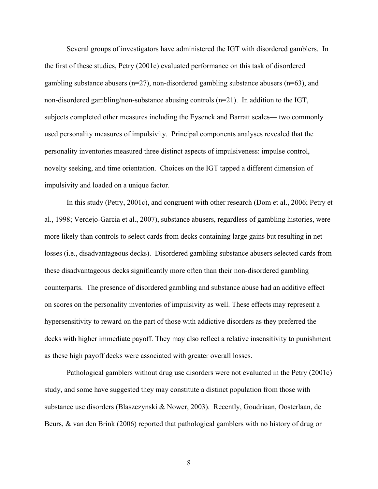Several groups of investigators have administered the IGT with disordered gamblers. In the first of these studies, Petry (2001c) evaluated performance on this task of disordered gambling substance abusers ( $n=27$ ), non-disordered gambling substance abusers ( $n=63$ ), and non-disordered gambling/non-substance abusing controls (n=21). In addition to the IGT, subjects completed other measures including the Eysenck and Barratt scales–– two commonly used personality measures of impulsivity. Principal components analyses revealed that the personality inventories measured three distinct aspects of impulsiveness: impulse control, novelty seeking, and time orientation. Choices on the IGT tapped a different dimension of impulsivity and loaded on a unique factor.

In this study (Petry, 2001c), and congruent with other research (Dom et al., 2006; Petry et al., 1998; Verdejo-Garcia et al., 2007), substance abusers, regardless of gambling histories, were more likely than controls to select cards from decks containing large gains but resulting in net losses (i.e., disadvantageous decks). Disordered gambling substance abusers selected cards from these disadvantageous decks significantly more often than their non-disordered gambling counterparts. The presence of disordered gambling and substance abuse had an additive effect on scores on the personality inventories of impulsivity as well. These effects may represent a hypersensitivity to reward on the part of those with addictive disorders as they preferred the decks with higher immediate payoff. They may also reflect a relative insensitivity to punishment as these high payoff decks were associated with greater overall losses.

Pathological gamblers without drug use disorders were not evaluated in the Petry (2001c) study, and some have suggested they may constitute a distinct population from those with substance use disorders (Blaszczynski & Nower, 2003). Recently, Goudriaan, Oosterlaan, de Beurs, & van den Brink (2006) reported that pathological gamblers with no history of drug or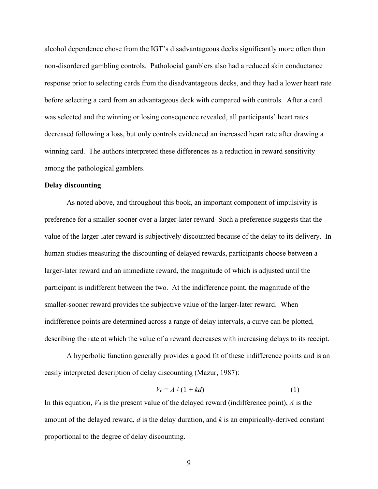alcohol dependence chose from the IGT's disadvantageous decks significantly more often than non-disordered gambling controls. Patholocial gamblers also had a reduced skin conductance response prior to selecting cards from the disadvantageous decks, and they had a lower heart rate before selecting a card from an advantageous deck with compared with controls. After a card was selected and the winning or losing consequence revealed, all participants' heart rates decreased following a loss, but only controls evidenced an increased heart rate after drawing a winning card. The authors interpreted these differences as a reduction in reward sensitivity among the pathological gamblers.

### **Delay discounting**

As noted above, and throughout this book, an important component of impulsivity is preference for a smaller-sooner over a larger-later reward Such a preference suggests that the value of the larger-later reward is subjectively discounted because of the delay to its delivery. In human studies measuring the discounting of delayed rewards, participants choose between a larger-later reward and an immediate reward, the magnitude of which is adjusted until the participant is indifferent between the two. At the indifference point, the magnitude of the smaller-sooner reward provides the subjective value of the larger-later reward. When indifference points are determined across a range of delay intervals, a curve can be plotted, describing the rate at which the value of a reward decreases with increasing delays to its receipt.

A hyperbolic function generally provides a good fit of these indifference points and is an easily interpreted description of delay discounting (Mazur, 1987):

$$
V_{d} = A / (1 + kd) \tag{1}
$$

In this equation,  $V_d$  is the present value of the delayed reward (indifference point),  $\vec{A}$  is the amount of the delayed reward, *d* is the delay duration, and *k* is an empirically-derived constant proportional to the degree of delay discounting.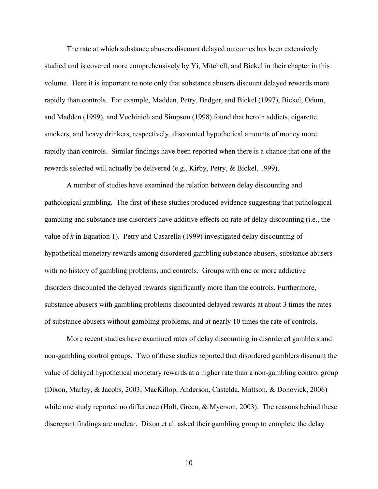The rate at which substance abusers discount delayed outcomes has been extensively studied and is covered more comprehensively by Yi, Mitchell, and Bickel in their chapter in this volume. Here it is important to note only that substance abusers discount delayed rewards more rapidly than controls. For example, Madden, Petry, Badger, and Bickel (1997), Bickel, Odum, and Madden (1999), and Vuchinich and Simpson (1998) found that heroin addicts, cigarette smokers, and heavy drinkers, respectively, discounted hypothetical amounts of money more rapidly than controls. Similar findings have been reported when there is a chance that one of the rewards selected will actually be delivered (e.g., Kirby, Petry, & Bickel, 1999).

A number of studies have examined the relation between delay discounting and pathological gambling. The first of these studies produced evidence suggesting that pathological gambling and substance use disorders have additive effects on rate of delay discounting (i.e., the value of *k* in Equation 1). Petry and Casarella (1999) investigated delay discounting of hypothetical monetary rewards among disordered gambling substance abusers, substance abusers with no history of gambling problems, and controls. Groups with one or more addictive disorders discounted the delayed rewards significantly more than the controls. Furthermore, substance abusers with gambling problems discounted delayed rewards at about 3 times the rates of substance abusers without gambling problems, and at nearly 10 times the rate of controls.

More recent studies have examined rates of delay discounting in disordered gamblers and non-gambling control groups. Two of these studies reported that disordered gamblers discount the value of delayed hypothetical monetary rewards at a higher rate than a non-gambling control group (Dixon, Marley, & Jacobs, 2003; MacKillop, Anderson, Castelda, Mattson, & Donovick, 2006) while one study reported no difference (Holt, Green, & Myerson, 2003). The reasons behind these discrepant findings are unclear. Dixon et al. asked their gambling group to complete the delay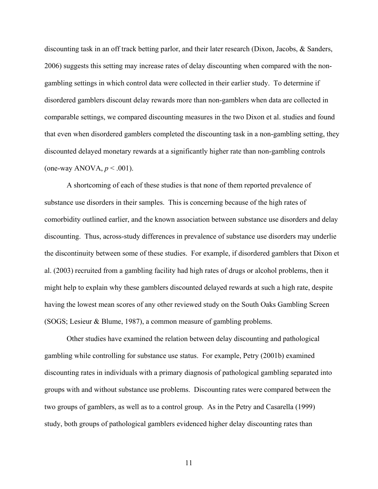discounting task in an off track betting parlor, and their later research (Dixon, Jacobs, & Sanders, 2006) suggests this setting may increase rates of delay discounting when compared with the nongambling settings in which control data were collected in their earlier study. To determine if disordered gamblers discount delay rewards more than non-gamblers when data are collected in comparable settings, we compared discounting measures in the two Dixon et al. studies and found that even when disordered gamblers completed the discounting task in a non-gambling setting, they discounted delayed monetary rewards at a significantly higher rate than non-gambling controls (one-way ANOVA, *p* < .001).

A shortcoming of each of these studies is that none of them reported prevalence of substance use disorders in their samples. This is concerning because of the high rates of comorbidity outlined earlier, and the known association between substance use disorders and delay discounting. Thus, across-study differences in prevalence of substance use disorders may underlie the discontinuity between some of these studies. For example, if disordered gamblers that Dixon et al. (2003) recruited from a gambling facility had high rates of drugs or alcohol problems, then it might help to explain why these gamblers discounted delayed rewards at such a high rate, despite having the lowest mean scores of any other reviewed study on the South Oaks Gambling Screen (SOGS; Lesieur & Blume, 1987), a common measure of gambling problems.

Other studies have examined the relation between delay discounting and pathological gambling while controlling for substance use status. For example, Petry (2001b) examined discounting rates in individuals with a primary diagnosis of pathological gambling separated into groups with and without substance use problems. Discounting rates were compared between the two groups of gamblers, as well as to a control group. As in the Petry and Casarella (1999) study, both groups of pathological gamblers evidenced higher delay discounting rates than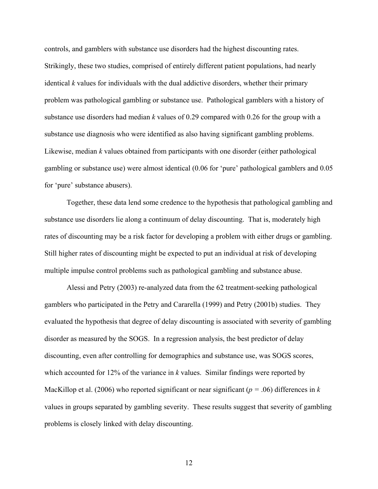controls, and gamblers with substance use disorders had the highest discounting rates. Strikingly, these two studies, comprised of entirely different patient populations, had nearly identical *k* values for individuals with the dual addictive disorders, whether their primary problem was pathological gambling or substance use. Pathological gamblers with a history of substance use disorders had median *k* values of 0.29 compared with 0.26 for the group with a substance use diagnosis who were identified as also having significant gambling problems. Likewise, median *k* values obtained from participants with one disorder (either pathological gambling or substance use) were almost identical (0.06 for 'pure' pathological gamblers and 0.05 for 'pure' substance abusers).

Together, these data lend some credence to the hypothesis that pathological gambling and substance use disorders lie along a continuum of delay discounting. That is, moderately high rates of discounting may be a risk factor for developing a problem with either drugs or gambling. Still higher rates of discounting might be expected to put an individual at risk of developing multiple impulse control problems such as pathological gambling and substance abuse.

 Alessi and Petry (2003) re-analyzed data from the 62 treatment-seeking pathological gamblers who participated in the Petry and Cararella (1999) and Petry (2001b) studies. They evaluated the hypothesis that degree of delay discounting is associated with severity of gambling disorder as measured by the SOGS. In a regression analysis, the best predictor of delay discounting, even after controlling for demographics and substance use, was SOGS scores, which accounted for 12% of the variance in *k* values. Similar findings were reported by MacKillop et al. (2006) who reported significant or near significant (*p =* .06) differences in *k*  values in groups separated by gambling severity. These results suggest that severity of gambling problems is closely linked with delay discounting.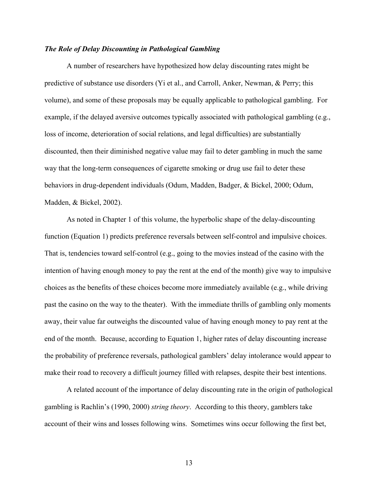# *The Role of Delay Discounting in Pathological Gambling*

A number of researchers have hypothesized how delay discounting rates might be predictive of substance use disorders (Yi et al., and Carroll, Anker, Newman, & Perry; this volume), and some of these proposals may be equally applicable to pathological gambling. For example, if the delayed aversive outcomes typically associated with pathological gambling (e.g., loss of income, deterioration of social relations, and legal difficulties) are substantially discounted, then their diminished negative value may fail to deter gambling in much the same way that the long-term consequences of cigarette smoking or drug use fail to deter these behaviors in drug-dependent individuals (Odum, Madden, Badger, & Bickel, 2000; Odum, Madden, & Bickel, 2002).

As noted in Chapter 1 of this volume, the hyperbolic shape of the delay-discounting function (Equation 1) predicts preference reversals between self-control and impulsive choices. That is, tendencies toward self-control (e.g., going to the movies instead of the casino with the intention of having enough money to pay the rent at the end of the month) give way to impulsive choices as the benefits of these choices become more immediately available (e.g., while driving past the casino on the way to the theater). With the immediate thrills of gambling only moments away, their value far outweighs the discounted value of having enough money to pay rent at the end of the month. Because, according to Equation 1, higher rates of delay discounting increase the probability of preference reversals, pathological gamblers' delay intolerance would appear to make their road to recovery a difficult journey filled with relapses, despite their best intentions.

A related account of the importance of delay discounting rate in the origin of pathological gambling is Rachlin's (1990, 2000) *string theory*. According to this theory, gamblers take account of their wins and losses following wins. Sometimes wins occur following the first bet,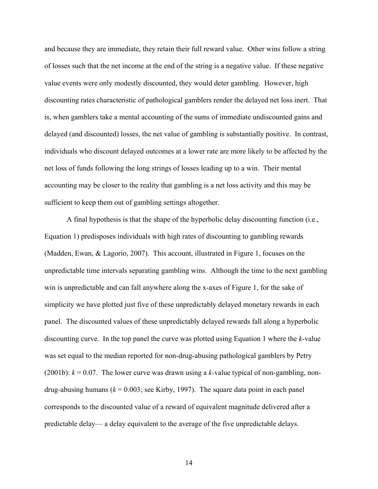and because they are immediate, they retain their full reward value. Other wins follow a string of losses such that the net income at the end of the string is a negative value. If these negative value events were only modestly discounted, they would deter gambling. However, high discounting rates characteristic of pathological gamblers render the delayed net loss inert. That is, when gamblers take a mental accounting of the sums of immediate undiscounted gains and delayed (and discounted) losses, the net value of gambling is substantially positive. In contrast, individuals who discount delayed outcomes at a lower rate are more likely to be affected by the net loss of funds following the long strings of losses leading up to a win. Their mental accounting may be closer to the reality that gambling is a net loss activity and this may be sufficient to keep them out of gambling settings altogether.

A final hypothesis is that the shape of the hyperbolic delay discounting function (i.e., Equation 1) predisposes individuals with high rates of discounting to gambling rewards (Madden, Ewan, & Lagorio, 2007). This account, illustrated in Figure 1, focuses on the unpredictable time intervals separating gambling wins. Although the time to the next gambling win is unpredictable and can fall anywhere along the x-axes of Figure 1, for the sake of simplicity we have plotted just five of these unpredictably delayed monetary rewards in each panel. The discounted values of these unpredictably delayed rewards fall along a hyperbolic discounting curve. In the top panel the curve was plotted using Equation 1 where the *k*-value was set equal to the median reported for non-drug-abusing pathological gamblers by Petry (2001b):  $k = 0.07$ . The lower curve was drawn using a k-value typical of non-gambling, nondrug-abusing humans  $(k = 0.003; \text{ see Kirby}, 1997)$ . The square data point in each panel corresponds to the discounted value of a reward of equivalent magnitude delivered after a predictable delay–– a delay equivalent to the average of the five unpredictable delays.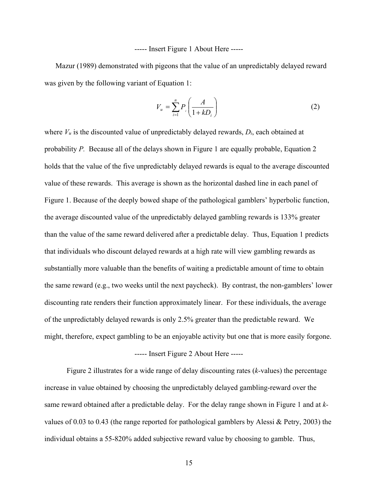----- Insert Figure 1 About Here -----

 Mazur (1989) demonstrated with pigeons that the value of an unpredictably delayed reward was given by the following variant of Equation 1:

$$
V_u = \sum_{i=1}^n P_i \left( \frac{A}{1 + k D_i} \right) \tag{2}
$$

where *Vu* is the discounted value of unpredictably delayed rewards, *Di*, each obtained at probability *P.* Because all of the delays shown in Figure 1 are equally probable, Equation 2 holds that the value of the five unpredictably delayed rewards is equal to the average discounted value of these rewards. This average is shown as the horizontal dashed line in each panel of Figure 1. Because of the deeply bowed shape of the pathological gamblers' hyperbolic function, the average discounted value of the unpredictably delayed gambling rewards is 133% greater than the value of the same reward delivered after a predictable delay. Thus, Equation 1 predicts that individuals who discount delayed rewards at a high rate will view gambling rewards as substantially more valuable than the benefits of waiting a predictable amount of time to obtain the same reward (e.g., two weeks until the next paycheck). By contrast, the non-gamblers' lower discounting rate renders their function approximately linear. For these individuals, the average of the unpredictably delayed rewards is only 2.5% greater than the predictable reward. We might, therefore, expect gambling to be an enjoyable activity but one that is more easily forgone.

# ----- Insert Figure 2 About Here -----

 Figure 2 illustrates for a wide range of delay discounting rates (*k-*values) the percentage increase in value obtained by choosing the unpredictably delayed gambling-reward over the same reward obtained after a predictable delay. For the delay range shown in Figure 1 and at *k*values of 0.03 to 0.43 (the range reported for pathological gamblers by Alessi & Petry, 2003) the individual obtains a 55-820% added subjective reward value by choosing to gamble. Thus,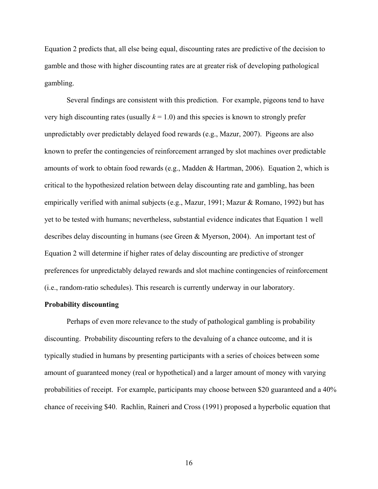Equation 2 predicts that, all else being equal, discounting rates are predictive of the decision to gamble and those with higher discounting rates are at greater risk of developing pathological gambling.

 Several findings are consistent with this prediction. For example, pigeons tend to have very high discounting rates (usually  $k = 1.0$ ) and this species is known to strongly prefer unpredictably over predictably delayed food rewards (e.g., Mazur, 2007). Pigeons are also known to prefer the contingencies of reinforcement arranged by slot machines over predictable amounts of work to obtain food rewards (e.g., Madden & Hartman, 2006). Equation 2, which is critical to the hypothesized relation between delay discounting rate and gambling, has been empirically verified with animal subjects (e.g., Mazur, 1991; Mazur & Romano, 1992) but has yet to be tested with humans; nevertheless, substantial evidence indicates that Equation 1 well describes delay discounting in humans (see Green & Myerson, 2004). An important test of Equation 2 will determine if higher rates of delay discounting are predictive of stronger preferences for unpredictably delayed rewards and slot machine contingencies of reinforcement (i.e., random-ratio schedules). This research is currently underway in our laboratory.

#### **Probability discounting**

Perhaps of even more relevance to the study of pathological gambling is probability discounting. Probability discounting refers to the devaluing of a chance outcome, and it is typically studied in humans by presenting participants with a series of choices between some amount of guaranteed money (real or hypothetical) and a larger amount of money with varying probabilities of receipt. For example, participants may choose between \$20 guaranteed and a 40% chance of receiving \$40. Rachlin, Raineri and Cross (1991) proposed a hyperbolic equation that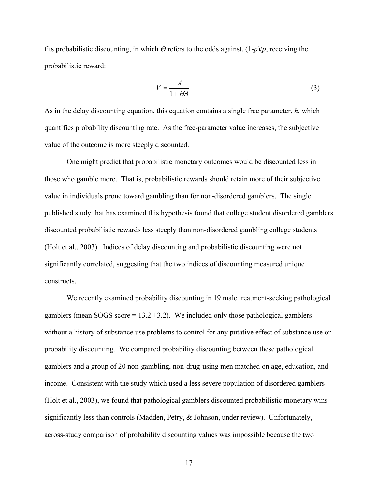fits probabilistic discounting, in which *Θ* refers to the odds against, (1-*p*)/*p*, receiving the probabilistic reward:

$$
V = \frac{A}{1 + h\Theta} \tag{3}
$$

As in the delay discounting equation, this equation contains a single free parameter, *h*, which quantifies probability discounting rate. As the free-parameter value increases, the subjective value of the outcome is more steeply discounted.

 One might predict that probabilistic monetary outcomes would be discounted less in those who gamble more. That is, probabilistic rewards should retain more of their subjective value in individuals prone toward gambling than for non-disordered gamblers. The single published study that has examined this hypothesis found that college student disordered gamblers discounted probabilistic rewards less steeply than non-disordered gambling college students (Holt et al., 2003). Indices of delay discounting and probabilistic discounting were not significantly correlated, suggesting that the two indices of discounting measured unique constructs.

We recently examined probability discounting in 19 male treatment-seeking pathological gamblers (mean SOGS score =  $13.2 + 3.2$ ). We included only those pathological gamblers without a history of substance use problems to control for any putative effect of substance use on probability discounting. We compared probability discounting between these pathological gamblers and a group of 20 non-gambling, non-drug-using men matched on age, education, and income. Consistent with the study which used a less severe population of disordered gamblers (Holt et al., 2003), we found that pathological gamblers discounted probabilistic monetary wins significantly less than controls (Madden, Petry, & Johnson, under review). Unfortunately, across-study comparison of probability discounting values was impossible because the two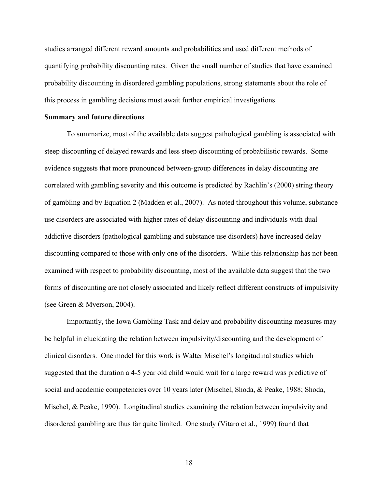studies arranged different reward amounts and probabilities and used different methods of quantifying probability discounting rates. Given the small number of studies that have examined probability discounting in disordered gambling populations, strong statements about the role of this process in gambling decisions must await further empirical investigations.

#### **Summary and future directions**

To summarize, most of the available data suggest pathological gambling is associated with steep discounting of delayed rewards and less steep discounting of probabilistic rewards. Some evidence suggests that more pronounced between-group differences in delay discounting are correlated with gambling severity and this outcome is predicted by Rachlin's (2000) string theory of gambling and by Equation 2 (Madden et al., 2007). As noted throughout this volume, substance use disorders are associated with higher rates of delay discounting and individuals with dual addictive disorders (pathological gambling and substance use disorders) have increased delay discounting compared to those with only one of the disorders. While this relationship has not been examined with respect to probability discounting, most of the available data suggest that the two forms of discounting are not closely associated and likely reflect different constructs of impulsivity (see Green & Myerson, 2004).

Importantly, the Iowa Gambling Task and delay and probability discounting measures may be helpful in elucidating the relation between impulsivity/discounting and the development of clinical disorders. One model for this work is Walter Mischel's longitudinal studies which suggested that the duration a 4-5 year old child would wait for a large reward was predictive of social and academic competencies over 10 years later (Mischel, Shoda, & Peake, 1988; Shoda, Mischel, & Peake, 1990). Longitudinal studies examining the relation between impulsivity and disordered gambling are thus far quite limited. One study (Vitaro et al., 1999) found that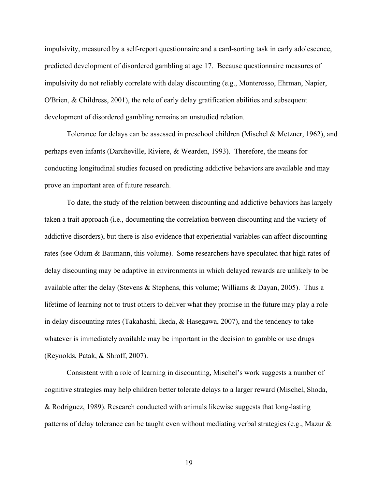impulsivity, measured by a self-report questionnaire and a card-sorting task in early adolescence, predicted development of disordered gambling at age 17. Because questionnaire measures of impulsivity do not reliably correlate with delay discounting (e.g., Monterosso, Ehrman, Napier, O'Brien, & Childress, 2001), the role of early delay gratification abilities and subsequent development of disordered gambling remains an unstudied relation.

Tolerance for delays can be assessed in preschool children (Mischel & Metzner, 1962), and perhaps even infants (Darcheville, Riviere, & Wearden, 1993). Therefore, the means for conducting longitudinal studies focused on predicting addictive behaviors are available and may prove an important area of future research.

To date, the study of the relation between discounting and addictive behaviors has largely taken a trait approach (i.e., documenting the correlation between discounting and the variety of addictive disorders), but there is also evidence that experiential variables can affect discounting rates (see Odum & Baumann, this volume). Some researchers have speculated that high rates of delay discounting may be adaptive in environments in which delayed rewards are unlikely to be available after the delay (Stevens & Stephens, this volume; Williams & Dayan, 2005). Thus a lifetime of learning not to trust others to deliver what they promise in the future may play a role in delay discounting rates (Takahashi, Ikeda, & Hasegawa, 2007), and the tendency to take whatever is immediately available may be important in the decision to gamble or use drugs (Reynolds, Patak, & Shroff, 2007).

Consistent with a role of learning in discounting, Mischel's work suggests a number of cognitive strategies may help children better tolerate delays to a larger reward (Mischel, Shoda, & Rodriguez, 1989). Research conducted with animals likewise suggests that long-lasting patterns of delay tolerance can be taught even without mediating verbal strategies (e.g., Mazur &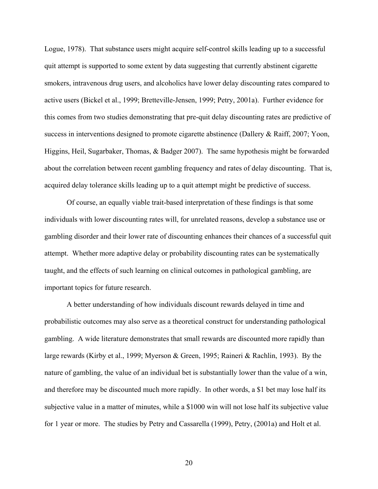Logue, 1978). That substance users might acquire self-control skills leading up to a successful quit attempt is supported to some extent by data suggesting that currently abstinent cigarette smokers, intravenous drug users, and alcoholics have lower delay discounting rates compared to active users (Bickel et al., 1999; Bretteville-Jensen, 1999; Petry, 2001a). Further evidence for this comes from two studies demonstrating that pre-quit delay discounting rates are predictive of success in interventions designed to promote cigarette abstinence (Dallery & Raiff, 2007; Yoon, Higgins, Heil, Sugarbaker, Thomas, & Badger 2007). The same hypothesis might be forwarded about the correlation between recent gambling frequency and rates of delay discounting. That is, acquired delay tolerance skills leading up to a quit attempt might be predictive of success.

Of course, an equally viable trait-based interpretation of these findings is that some individuals with lower discounting rates will, for unrelated reasons, develop a substance use or gambling disorder and their lower rate of discounting enhances their chances of a successful quit attempt. Whether more adaptive delay or probability discounting rates can be systematically taught, and the effects of such learning on clinical outcomes in pathological gambling, are important topics for future research.

A better understanding of how individuals discount rewards delayed in time and probabilistic outcomes may also serve as a theoretical construct for understanding pathological gambling. A wide literature demonstrates that small rewards are discounted more rapidly than large rewards (Kirby et al., 1999; Myerson & Green, 1995; Raineri & Rachlin, 1993). By the nature of gambling, the value of an individual bet is substantially lower than the value of a win, and therefore may be discounted much more rapidly. In other words, a \$1 bet may lose half its subjective value in a matter of minutes, while a \$1000 win will not lose half its subjective value for 1 year or more. The studies by Petry and Cassarella (1999), Petry, (2001a) and Holt et al.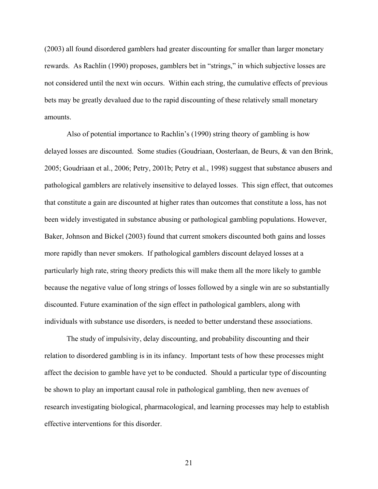(2003) all found disordered gamblers had greater discounting for smaller than larger monetary rewards. As Rachlin (1990) proposes, gamblers bet in "strings," in which subjective losses are not considered until the next win occurs. Within each string, the cumulative effects of previous bets may be greatly devalued due to the rapid discounting of these relatively small monetary amounts.

Also of potential importance to Rachlin's (1990) string theory of gambling is how delayed losses are discounted. Some studies (Goudriaan, Oosterlaan, de Beurs, & van den Brink, 2005; Goudriaan et al., 2006; Petry, 2001b; Petry et al., 1998) suggest that substance abusers and pathological gamblers are relatively insensitive to delayed losses. This sign effect, that outcomes that constitute a gain are discounted at higher rates than outcomes that constitute a loss, has not been widely investigated in substance abusing or pathological gambling populations. However, Baker, Johnson and Bickel (2003) found that current smokers discounted both gains and losses more rapidly than never smokers. If pathological gamblers discount delayed losses at a particularly high rate, string theory predicts this will make them all the more likely to gamble because the negative value of long strings of losses followed by a single win are so substantially discounted. Future examination of the sign effect in pathological gamblers, along with individuals with substance use disorders, is needed to better understand these associations.

The study of impulsivity, delay discounting, and probability discounting and their relation to disordered gambling is in its infancy. Important tests of how these processes might affect the decision to gamble have yet to be conducted. Should a particular type of discounting be shown to play an important causal role in pathological gambling, then new avenues of research investigating biological, pharmacological, and learning processes may help to establish effective interventions for this disorder.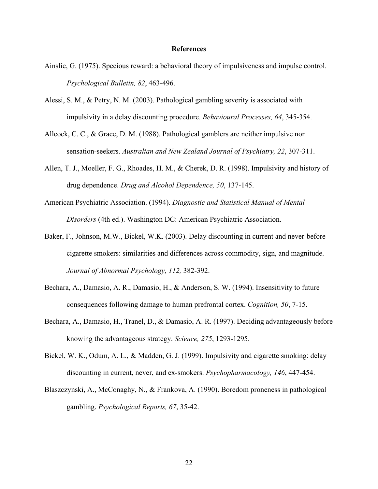### **References**

- Ainslie, G. (1975). Specious reward: a behavioral theory of impulsiveness and impulse control. *Psychological Bulletin, 82*, 463-496.
- Alessi, S. M., & Petry, N. M. (2003). Pathological gambling severity is associated with impulsivity in a delay discounting procedure. *Behavioural Processes, 64*, 345-354.
- Allcock, C. C., & Grace, D. M. (1988). Pathological gamblers are neither impulsive nor sensation-seekers. *Australian and New Zealand Journal of Psychiatry, 22*, 307-311.
- Allen, T. J., Moeller, F. G., Rhoades, H. M., & Cherek, D. R. (1998). Impulsivity and history of drug dependence. *Drug and Alcohol Dependence, 50*, 137-145.
- American Psychiatric Association. (1994). *Diagnostic and Statistical Manual of Mental Disorders* (4th ed.). Washington DC: American Psychiatric Association.
- Baker, F., Johnson, M.W., Bickel, W.K. (2003). Delay discounting in current and never-before cigarette smokers: similarities and differences across commodity, sign, and magnitude. *Journal of Abnormal Psychology, 112,* 382-392.
- Bechara, A., Damasio, A. R., Damasio, H., & Anderson, S. W. (1994). Insensitivity to future consequences following damage to human prefrontal cortex. *Cognition, 50*, 7-15.
- Bechara, A., Damasio, H., Tranel, D., & Damasio, A. R. (1997). Deciding advantageously before knowing the advantageous strategy. *Science, 275*, 1293-1295.
- Bickel, W. K., Odum, A. L., & Madden, G. J. (1999). Impulsivity and cigarette smoking: delay discounting in current, never, and ex-smokers. *Psychopharmacology, 146*, 447-454.
- Blaszczynski, A., McConaghy, N., & Frankova, A. (1990). Boredom proneness in pathological gambling. *Psychological Reports, 67*, 35-42.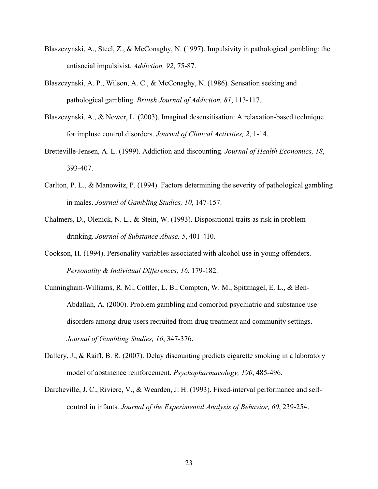- Blaszczynski, A., Steel, Z., & McConaghy, N. (1997). Impulsivity in pathological gambling: the antisocial impulsivist. *Addiction, 92*, 75-87.
- Blaszczynski, A. P., Wilson, A. C., & McConaghy, N. (1986). Sensation seeking and pathological gambling. *British Journal of Addiction, 81*, 113-117.
- Blaszczynski, A., & Nower, L. (2003). Imaginal desensitisation: A relaxation-based technique for impluse control disorders. *Journal of Clinical Activities, 2*, 1-14.
- Bretteville-Jensen, A. L. (1999). Addiction and discounting. *Journal of Health Economics, 18*, 393-407.
- Carlton, P. L., & Manowitz, P. (1994). Factors determining the severity of pathological gambling in males. *Journal of Gambling Studies, 10*, 147-157.
- Chalmers, D., Olenick, N. L., & Stein, W. (1993). Dispositional traits as risk in problem drinking. *Journal of Substance Abuse, 5*, 401-410.
- Cookson, H. (1994). Personality variables associated with alcohol use in young offenders. *Personality & Individual Differences, 16*, 179-182.
- Cunningham-Williams, R. M., Cottler, L. B., Compton, W. M., Spitznagel, E. L., & Ben-Abdallah, A. (2000). Problem gambling and comorbid psychiatric and substance use disorders among drug users recruited from drug treatment and community settings. *Journal of Gambling Studies, 16*, 347-376.
- Dallery, J., & Raiff, B. R. (2007). Delay discounting predicts cigarette smoking in a laboratory model of abstinence reinforcement. *Psychopharmacology, 190*, 485-496.
- Darcheville, J. C., Riviere, V., & Wearden, J. H. (1993). Fixed-interval performance and selfcontrol in infants. *Journal of the Experimental Analysis of Behavior, 60*, 239-254.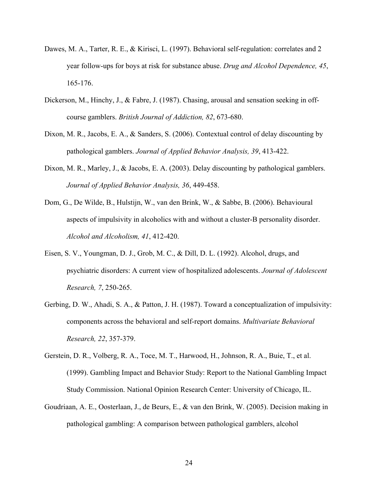- Dawes, M. A., Tarter, R. E., & Kirisci, L. (1997). Behavioral self-regulation: correlates and 2 year follow-ups for boys at risk for substance abuse. *Drug and Alcohol Dependence, 45*, 165-176.
- Dickerson, M., Hinchy, J., & Fabre, J. (1987). Chasing, arousal and sensation seeking in offcourse gamblers. *British Journal of Addiction, 82*, 673-680.
- Dixon, M. R., Jacobs, E. A., & Sanders, S. (2006). Contextual control of delay discounting by pathological gamblers. *Journal of Applied Behavior Analysis, 39*, 413-422.
- Dixon, M. R., Marley, J., & Jacobs, E. A. (2003). Delay discounting by pathological gamblers. *Journal of Applied Behavior Analysis, 36*, 449-458.
- Dom, G., De Wilde, B., Hulstijn, W., van den Brink, W., & Sabbe, B. (2006). Behavioural aspects of impulsivity in alcoholics with and without a cluster-B personality disorder. *Alcohol and Alcoholism, 41*, 412-420.
- Eisen, S. V., Youngman, D. J., Grob, M. C., & Dill, D. L. (1992). Alcohol, drugs, and psychiatric disorders: A current view of hospitalized adolescents. *Journal of Adolescent Research, 7*, 250-265.
- Gerbing, D. W., Ahadi, S. A., & Patton, J. H. (1987). Toward a conceptualization of impulsivity: components across the behavioral and self-report domains. *Multivariate Behavioral Research, 22*, 357-379.
- Gerstein, D. R., Volberg, R. A., Toce, M. T., Harwood, H., Johnson, R. A., Buie, T., et al. (1999). Gambling Impact and Behavior Study: Report to the National Gambling Impact Study Commission. National Opinion Research Center: University of Chicago, IL.
- Goudriaan, A. E., Oosterlaan, J., de Beurs, E., & van den Brink, W. (2005). Decision making in pathological gambling: A comparison between pathological gamblers, alcohol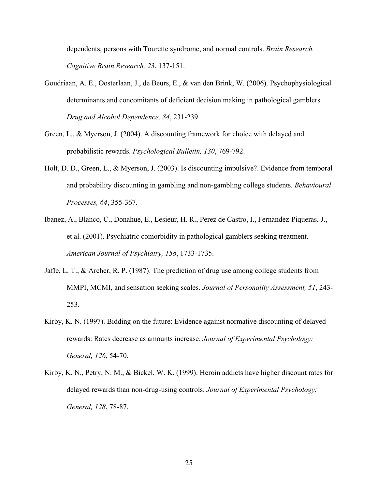dependents, persons with Tourette syndrome, and normal controls. *Brain Research. Cognitive Brain Research, 23*, 137-151.

- Goudriaan, A. E., Oosterlaan, J., de Beurs, E., & van den Brink, W. (2006). Psychophysiological determinants and concomitants of deficient decision making in pathological gamblers. *Drug and Alcohol Dependence, 84*, 231-239.
- Green, L., & Myerson, J. (2004). A discounting framework for choice with delayed and probabilistic rewards. *Psychological Bulletin, 130*, 769-792.
- Holt, D. D., Green, L., & Myerson, J. (2003). Is discounting impulsive?. Evidence from temporal and probability discounting in gambling and non-gambling college students. *Behavioural Processes, 64*, 355-367.
- Ibanez, A., Blanco, C., Donahue, E., Lesieur, H. R., Perez de Castro, I., Fernandez-Piqueras, J., et al. (2001). Psychiatric comorbidity in pathological gamblers seeking treatment. *American Journal of Psychiatry, 158*, 1733-1735.
- Jaffe, L. T., & Archer, R. P. (1987). The prediction of drug use among college students from MMPI, MCMI, and sensation seeking scales. *Journal of Personality Assessment, 51*, 243- 253.
- Kirby, K. N. (1997). Bidding on the future: Evidence against normative discounting of delayed rewards: Rates decrease as amounts increase. *Journal of Experimental Psychology: General, 126*, 54-70.
- Kirby, K. N., Petry, N. M., & Bickel, W. K. (1999). Heroin addicts have higher discount rates for delayed rewards than non-drug-using controls. *Journal of Experimental Psychology: General, 128*, 78-87.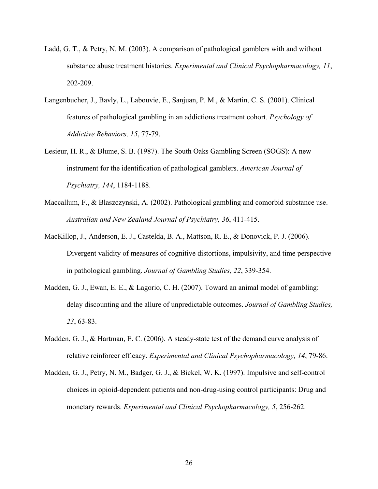- Ladd, G. T., & Petry, N. M. (2003). A comparison of pathological gamblers with and without substance abuse treatment histories. *Experimental and Clinical Psychopharmacology, 11*, 202-209.
- Langenbucher, J., Bavly, L., Labouvie, E., Sanjuan, P. M., & Martin, C. S. (2001). Clinical features of pathological gambling in an addictions treatment cohort. *Psychology of Addictive Behaviors, 15*, 77-79.
- Lesieur, H. R., & Blume, S. B. (1987). The South Oaks Gambling Screen (SOGS): A new instrument for the identification of pathological gamblers. *American Journal of Psychiatry, 144*, 1184-1188.
- Maccallum, F., & Blaszczynski, A. (2002). Pathological gambling and comorbid substance use. *Australian and New Zealand Journal of Psychiatry, 36*, 411-415.
- MacKillop, J., Anderson, E. J., Castelda, B. A., Mattson, R. E., & Donovick, P. J. (2006). Divergent validity of measures of cognitive distortions, impulsivity, and time perspective in pathological gambling. *Journal of Gambling Studies, 22*, 339-354.
- Madden, G. J., Ewan, E. E., & Lagorio, C. H. (2007). Toward an animal model of gambling: delay discounting and the allure of unpredictable outcomes. *Journal of Gambling Studies, 23*, 63-83.
- Madden, G. J., & Hartman, E. C. (2006). A steady-state test of the demand curve analysis of relative reinforcer efficacy. *Experimental and Clinical Psychopharmacology, 14*, 79-86.
- Madden, G. J., Petry, N. M., Badger, G. J., & Bickel, W. K. (1997). Impulsive and self-control choices in opioid-dependent patients and non-drug-using control participants: Drug and monetary rewards. *Experimental and Clinical Psychopharmacology, 5*, 256-262.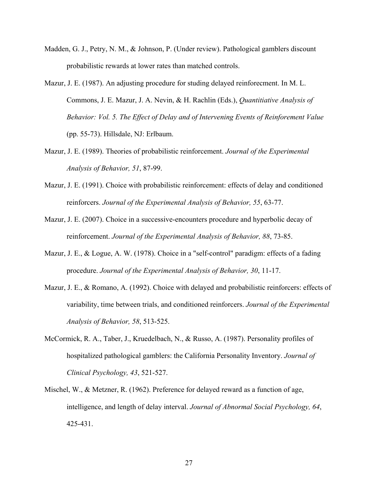- Madden, G. J., Petry, N. M., & Johnson, P. (Under review). Pathological gamblers discount probabilistic rewards at lower rates than matched controls.
- Mazur, J. E. (1987). An adjusting procedure for studing delayed reinforecment. In M. L. Commons, J. E. Mazur, J. A. Nevin, & H. Rachlin (Eds.), *Quantitiative Analysis of Behavior: Vol. 5. The Effect of Delay and of Intervening Events of Reinforement Value* (pp. 55-73). Hillsdale, NJ: Erlbaum.
- Mazur, J. E. (1989). Theories of probabilistic reinforcement. *Journal of the Experimental Analysis of Behavior, 51*, 87-99.
- Mazur, J. E. (1991). Choice with probabilistic reinforcement: effects of delay and conditioned reinforcers. *Journal of the Experimental Analysis of Behavior, 55*, 63-77.
- Mazur, J. E. (2007). Choice in a successive-encounters procedure and hyperbolic decay of reinforcement. *Journal of the Experimental Analysis of Behavior, 88*, 73-85.
- Mazur, J. E., & Logue, A. W. (1978). Choice in a "self-control" paradigm: effects of a fading procedure. *Journal of the Experimental Analysis of Behavior, 30*, 11-17.
- Mazur, J. E., & Romano, A. (1992). Choice with delayed and probabilistic reinforcers: effects of variability, time between trials, and conditioned reinforcers. *Journal of the Experimental Analysis of Behavior, 58*, 513-525.
- McCormick, R. A., Taber, J., Kruedelbach, N., & Russo, A. (1987). Personality profiles of hospitalized pathological gamblers: the California Personality Inventory. *Journal of Clinical Psychology, 43*, 521-527.
- Mischel, W., & Metzner, R. (1962). Preference for delayed reward as a function of age, intelligence, and length of delay interval. *Journal of Abnormal Social Psychology, 64*, 425-431.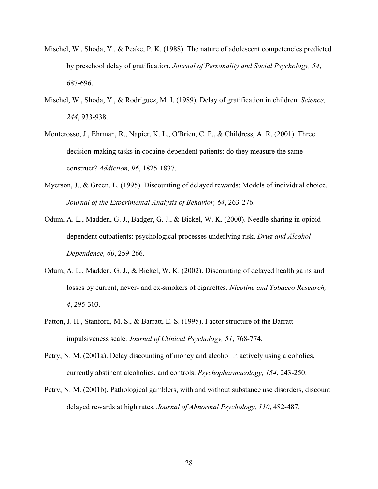- Mischel, W., Shoda, Y., & Peake, P. K. (1988). The nature of adolescent competencies predicted by preschool delay of gratification. *Journal of Personality and Social Psychology, 54*, 687-696.
- Mischel, W., Shoda, Y., & Rodriguez, M. I. (1989). Delay of gratification in children. *Science, 244*, 933-938.
- Monterosso, J., Ehrman, R., Napier, K. L., O'Brien, C. P., & Childress, A. R. (2001). Three decision-making tasks in cocaine-dependent patients: do they measure the same construct? *Addiction, 96*, 1825-1837.
- Myerson, J., & Green, L. (1995). Discounting of delayed rewards: Models of individual choice. *Journal of the Experimental Analysis of Behavior, 64*, 263-276.
- Odum, A. L., Madden, G. J., Badger, G. J., & Bickel, W. K. (2000). Needle sharing in opioiddependent outpatients: psychological processes underlying risk. *Drug and Alcohol Dependence, 60*, 259-266.
- Odum, A. L., Madden, G. J., & Bickel, W. K. (2002). Discounting of delayed health gains and losses by current, never- and ex-smokers of cigarettes. *Nicotine and Tobacco Research, 4*, 295-303.
- Patton, J. H., Stanford, M. S., & Barratt, E. S. (1995). Factor structure of the Barratt impulsiveness scale. *Journal of Clinical Psychology, 51*, 768-774.
- Petry, N. M. (2001a). Delay discounting of money and alcohol in actively using alcoholics, currently abstinent alcoholics, and controls. *Psychopharmacology, 154*, 243-250.
- Petry, N. M. (2001b). Pathological gamblers, with and without substance use disorders, discount delayed rewards at high rates. *Journal of Abnormal Psychology, 110*, 482-487.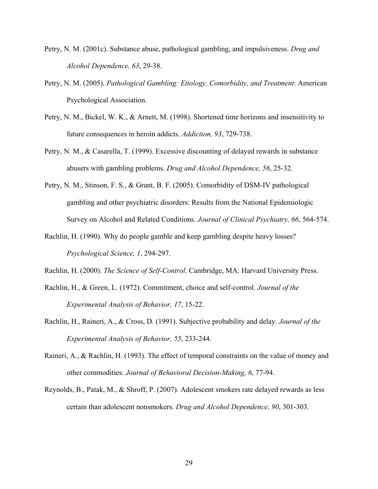- Petry, N. M. (2001c). Substance abuse, pathological gambling, and impulsiveness. *Drug and Alcohol Dependence, 63*, 29-38.
- Petry, N. M. (2005). *Pathological Gambling: Etiology, Comorbidity, and Treatment*: American Psychological Association.
- Petry, N. M., Bickel, W. K., & Arnett, M. (1998). Shortened time horizons and insensitivity to future consequences in heroin addicts. *Addiction, 93*, 729-738.
- Petry, N. M., & Casarella, T. (1999). Excessive discounting of delayed rewards in substance abusers with gambling problems. *Drug and Alcohol Dependence, 56*, 25-32.
- Petry, N. M., Stinson, F. S., & Grant, B. F. (2005). Comorbidity of DSM-IV pathological gambling and other psychiatric disorders: Results from the National Epidemiologic Survey on Alcohol and Related Conditions. *Journal of Clinical Psychiatry, 66*, 564-574.
- Rachlin, H. (1990). Why do people gamble and keep gambling despite heavy losses? *Psychological Science, 1*, 294-297.

Rachlin, H. (2000). *The Science of Self-Control*. Cambridge, MA: Harvard University Press.

- Rachlin, H., & Green, L. (1972). Commitment, choice and self-control. *Journal of the Experimental Analysis of Behavior, 17*, 15-22.
- Rachlin, H., Raineri, A., & Cross, D. (1991). Subjective probability and delay. *Journal of the Experimental Analysis of Behavior, 55*, 233-244.
- Raineri, A., & Rachlin, H. (1993). The effect of temporal constraints on the value of money and other commodities. *Journal of Behavioral Decision-Making, 6*, 77-94.
- Reynolds, B., Patak, M., & Shroff, P. (2007). Adolescent smokers rate delayed rewards as less certain than adolescent nonsmokers. *Drug and Alcohol Dependence, 90*, 301-303.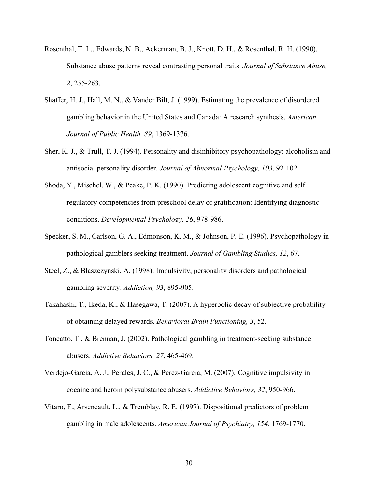- Rosenthal, T. L., Edwards, N. B., Ackerman, B. J., Knott, D. H., & Rosenthal, R. H. (1990). Substance abuse patterns reveal contrasting personal traits. *Journal of Substance Abuse, 2*, 255-263.
- Shaffer, H. J., Hall, M. N., & Vander Bilt, J. (1999). Estimating the prevalence of disordered gambling behavior in the United States and Canada: A research synthesis. *American Journal of Public Health, 89*, 1369-1376.
- Sher, K. J., & Trull, T. J. (1994). Personality and disinhibitory psychopathology: alcoholism and antisocial personality disorder. *Journal of Abnormal Psychology, 103*, 92-102.
- Shoda, Y., Mischel, W., & Peake, P. K. (1990). Predicting adolescent cognitive and self regulatory competencies from preschool delay of gratification: Identifying diagnostic conditions. *Developmental Psychology, 26*, 978-986.
- Specker, S. M., Carlson, G. A., Edmonson, K. M., & Johnson, P. E. (1996). Psychopathology in pathological gamblers seeking treatment. *Journal of Gambling Studies, 12*, 67.
- Steel, Z., & Blaszczynski, A. (1998). Impulsivity, personality disorders and pathological gambling severity. *Addiction, 93*, 895-905.
- Takahashi, T., Ikeda, K., & Hasegawa, T. (2007). A hyperbolic decay of subjective probability of obtaining delayed rewards. *Behavioral Brain Functioning, 3*, 52.
- Toneatto, T., & Brennan, J. (2002). Pathological gambling in treatment-seeking substance abusers. *Addictive Behaviors, 27*, 465-469.
- Verdejo-Garcia, A. J., Perales, J. C., & Perez-Garcia, M. (2007). Cognitive impulsivity in cocaine and heroin polysubstance abusers. *Addictive Behaviors, 32*, 950-966.
- Vitaro, F., Arseneault, L., & Tremblay, R. E. (1997). Dispositional predictors of problem gambling in male adolescents. *American Journal of Psychiatry, 154*, 1769-1770.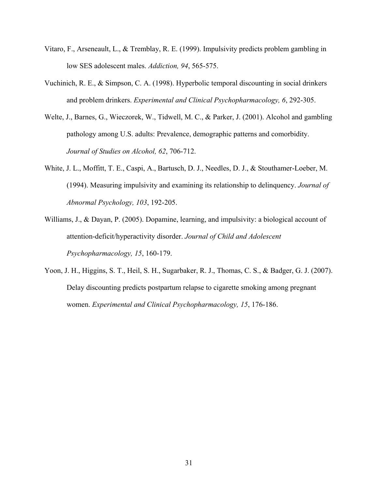- Vitaro, F., Arseneault, L., & Tremblay, R. E. (1999). Impulsivity predicts problem gambling in low SES adolescent males. *Addiction, 94*, 565-575.
- Vuchinich, R. E., & Simpson, C. A. (1998). Hyperbolic temporal discounting in social drinkers and problem drinkers. *Experimental and Clinical Psychopharmacology, 6*, 292-305.
- Welte, J., Barnes, G., Wieczorek, W., Tidwell, M. C., & Parker, J. (2001). Alcohol and gambling pathology among U.S. adults: Prevalence, demographic patterns and comorbidity. *Journal of Studies on Alcohol, 62*, 706-712.
- White, J. L., Moffitt, T. E., Caspi, A., Bartusch, D. J., Needles, D. J., & Stouthamer-Loeber, M. (1994). Measuring impulsivity and examining its relationship to delinquency. *Journal of Abnormal Psychology, 103*, 192-205.
- Williams, J., & Dayan, P. (2005). Dopamine, learning, and impulsivity: a biological account of attention-deficit/hyperactivity disorder. *Journal of Child and Adolescent Psychopharmacology, 15*, 160-179.
- Yoon, J. H., Higgins, S. T., Heil, S. H., Sugarbaker, R. J., Thomas, C. S., & Badger, G. J. (2007). Delay discounting predicts postpartum relapse to cigarette smoking among pregnant women. *Experimental and Clinical Psychopharmacology, 15*, 176-186.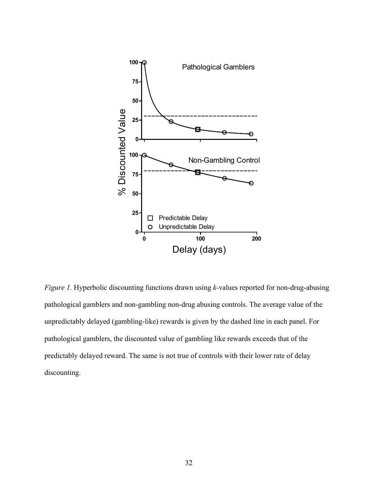

*Figure 1.* Hyperbolic discounting functions drawn using *k*-values reported for non-drug-abusing pathological gamblers and non-gambling non-drug abusing controls. The average value of the unpredictably delayed (gambling-like) rewards is given by the dashed line in each panel. For pathological gamblers, the discounted value of gambling like rewards exceeds that of the predictably delayed reward. The same is not true of controls with their lower rate of delay discounting.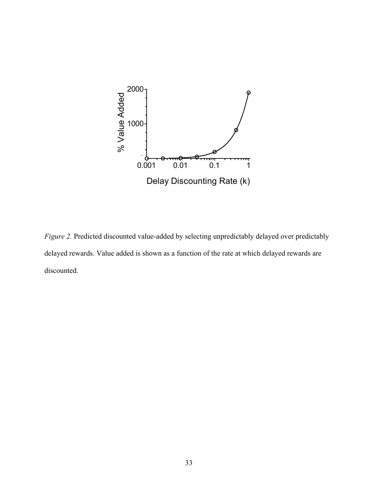

*Figure 2.* Predicted discounted value-added by selecting unpredictably delayed over predictably delayed rewards. Value added is shown as a function of the rate at which delayed rewards are discounted.